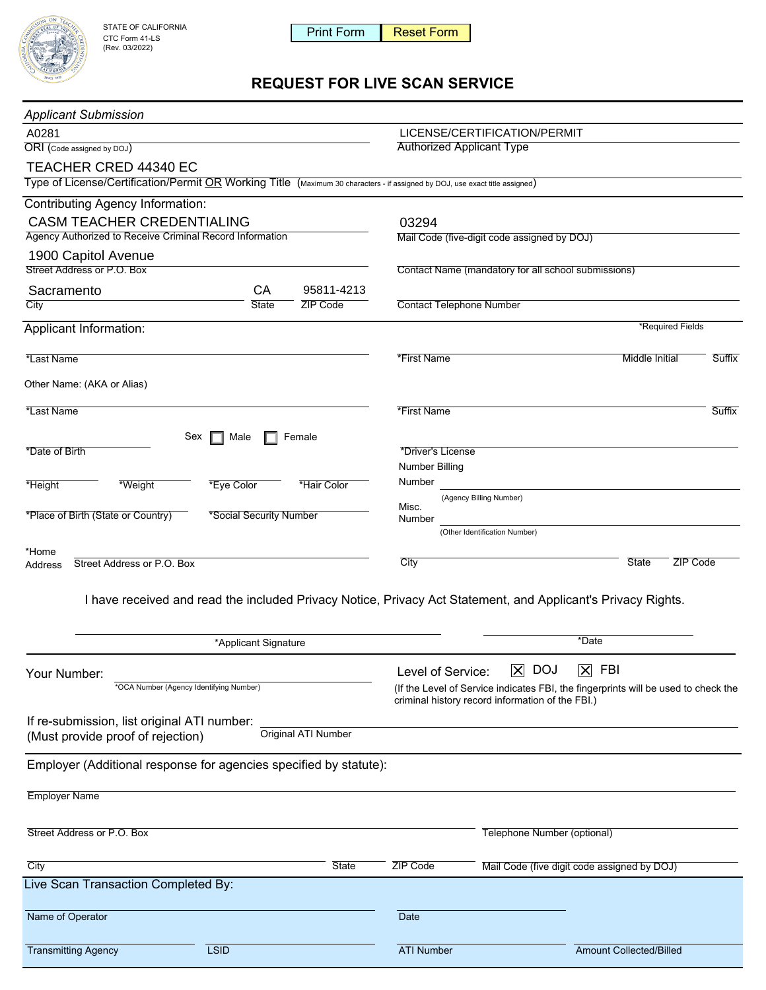

# **REQUEST FOR LIVE SCAN SERVICE**

| <b>SIAIE UF UALIFURINA</b><br>CTC Form 41-LS                                                                                 |                         | <b>Print Form</b>                    | <b>Reset Form</b>                                                                                                                      |                                                     |                                             |        |
|------------------------------------------------------------------------------------------------------------------------------|-------------------------|--------------------------------------|----------------------------------------------------------------------------------------------------------------------------------------|-----------------------------------------------------|---------------------------------------------|--------|
| (Rev. 03/2022)                                                                                                               |                         |                                      |                                                                                                                                        |                                                     |                                             |        |
|                                                                                                                              |                         | <b>REQUEST FOR LIVE SCAN SERVICE</b> |                                                                                                                                        |                                                     |                                             |        |
|                                                                                                                              |                         |                                      |                                                                                                                                        |                                                     |                                             |        |
| <b>Applicant Submission</b>                                                                                                  |                         |                                      |                                                                                                                                        |                                                     |                                             |        |
| A0281<br>ORI (Code assigned by DOJ)                                                                                          |                         |                                      | LICENSE/CERTIFICATION/PERMIT<br><b>Authorized Applicant Type</b>                                                                       |                                                     |                                             |        |
| TEACHER CRED 44340 EC                                                                                                        |                         |                                      |                                                                                                                                        |                                                     |                                             |        |
| Type of License/Certification/Permit OR Working Title (Maximum 30 characters - if assigned by DOJ, use exact title assigned) |                         |                                      |                                                                                                                                        |                                                     |                                             |        |
| <b>Contributing Agency Information:</b>                                                                                      |                         |                                      |                                                                                                                                        |                                                     |                                             |        |
| <b>CASM TEACHER CREDENTIALING</b>                                                                                            |                         |                                      | 03294                                                                                                                                  |                                                     |                                             |        |
| Agency Authorized to Receive Criminal Record Information                                                                     |                         |                                      | Mail Code (five-digit code assigned by DOJ)                                                                                            |                                                     |                                             |        |
| 1900 Capitol Avenue                                                                                                          |                         |                                      |                                                                                                                                        |                                                     |                                             |        |
| Street Address or P.O. Box                                                                                                   |                         |                                      |                                                                                                                                        | Contact Name (mandatory for all school submissions) |                                             |        |
| Sacramento                                                                                                                   | CA                      | 95811-4213                           |                                                                                                                                        |                                                     |                                             |        |
| City                                                                                                                         | State                   | ZIP Code                             | <b>Contact Telephone Number</b>                                                                                                        |                                                     |                                             |        |
| Applicant Information:                                                                                                       |                         |                                      |                                                                                                                                        |                                                     | *Required Fields                            |        |
| *Last Name                                                                                                                   |                         |                                      | *First Name                                                                                                                            |                                                     | Middle Initial                              | Suffix |
|                                                                                                                              |                         |                                      |                                                                                                                                        |                                                     |                                             |        |
| Other Name: (AKA or Alias)                                                                                                   |                         |                                      |                                                                                                                                        |                                                     |                                             |        |
| *Last Name                                                                                                                   |                         |                                      | *First Name                                                                                                                            |                                                     |                                             | Suffix |
|                                                                                                                              |                         |                                      |                                                                                                                                        |                                                     |                                             |        |
| Sex<br>*Date of Birth                                                                                                        | Male                    | Female                               | *Driver's License                                                                                                                      |                                                     |                                             |        |
|                                                                                                                              |                         |                                      | <b>Number Billing</b>                                                                                                                  |                                                     |                                             |        |
| *Height<br>*Weight                                                                                                           | *Eye Color              | *Hair Color                          | Number                                                                                                                                 |                                                     |                                             |        |
|                                                                                                                              |                         |                                      | Misc.                                                                                                                                  | (Agency Billing Number)                             |                                             |        |
| *Place of Birth (State or Country)                                                                                           | *Social Security Number |                                      | Number                                                                                                                                 |                                                     |                                             |        |
|                                                                                                                              |                         |                                      |                                                                                                                                        | (Other Identification Number)                       |                                             |        |
| *Home<br>Street Address or P.O. Box<br>Address                                                                               |                         |                                      | City                                                                                                                                   |                                                     | <b>State</b><br><b>ZIP Code</b>             |        |
|                                                                                                                              |                         |                                      |                                                                                                                                        |                                                     |                                             |        |
| I have received and read the included Privacy Notice, Privacy Act Statement, and Applicant's Privacy Rights.                 |                         |                                      |                                                                                                                                        |                                                     |                                             |        |
|                                                                                                                              |                         |                                      |                                                                                                                                        |                                                     |                                             |        |
| *Applicant Signature                                                                                                         |                         |                                      |                                                                                                                                        |                                                     | *Date                                       |        |
|                                                                                                                              |                         |                                      |                                                                                                                                        |                                                     |                                             |        |
| Your Number:                                                                                                                 |                         |                                      | Level of Service:                                                                                                                      | $\overline{\bm{\times}}$<br><b>DOJ</b>              | $ \overline{X} $ FBI                        |        |
| *OCA Number (Agency Identifying Number)                                                                                      |                         |                                      | (If the Level of Service indicates FBI, the fingerprints will be used to check the<br>criminal history record information of the FBI.) |                                                     |                                             |        |
| If re-submission, list original ATI number:                                                                                  |                         |                                      |                                                                                                                                        |                                                     |                                             |        |
| (Must provide proof of rejection)                                                                                            |                         | Original ATI Number                  |                                                                                                                                        |                                                     |                                             |        |
|                                                                                                                              |                         |                                      |                                                                                                                                        |                                                     |                                             |        |
| Employer (Additional response for agencies specified by statute):                                                            |                         |                                      |                                                                                                                                        |                                                     |                                             |        |
| <b>Employer Name</b>                                                                                                         |                         |                                      |                                                                                                                                        |                                                     |                                             |        |
|                                                                                                                              |                         |                                      |                                                                                                                                        |                                                     |                                             |        |
| Street Address or P.O. Box                                                                                                   |                         |                                      | Telephone Number (optional)                                                                                                            |                                                     |                                             |        |
|                                                                                                                              |                         |                                      |                                                                                                                                        |                                                     |                                             |        |
| City                                                                                                                         |                         | <b>State</b>                         | <b>ZIP Code</b>                                                                                                                        |                                                     | Mail Code (five digit code assigned by DOJ) |        |
| Live Scan Transaction Completed By:                                                                                          |                         |                                      |                                                                                                                                        |                                                     |                                             |        |
|                                                                                                                              |                         |                                      |                                                                                                                                        |                                                     |                                             |        |
| Name of Operator                                                                                                             |                         |                                      | Date                                                                                                                                   |                                                     |                                             |        |
| <b>Transmitting Agency</b>                                                                                                   | <b>LSID</b>             |                                      | <b>ATI Number</b>                                                                                                                      |                                                     | <b>Amount Collected/Billed</b>              |        |
|                                                                                                                              |                         |                                      |                                                                                                                                        |                                                     |                                             |        |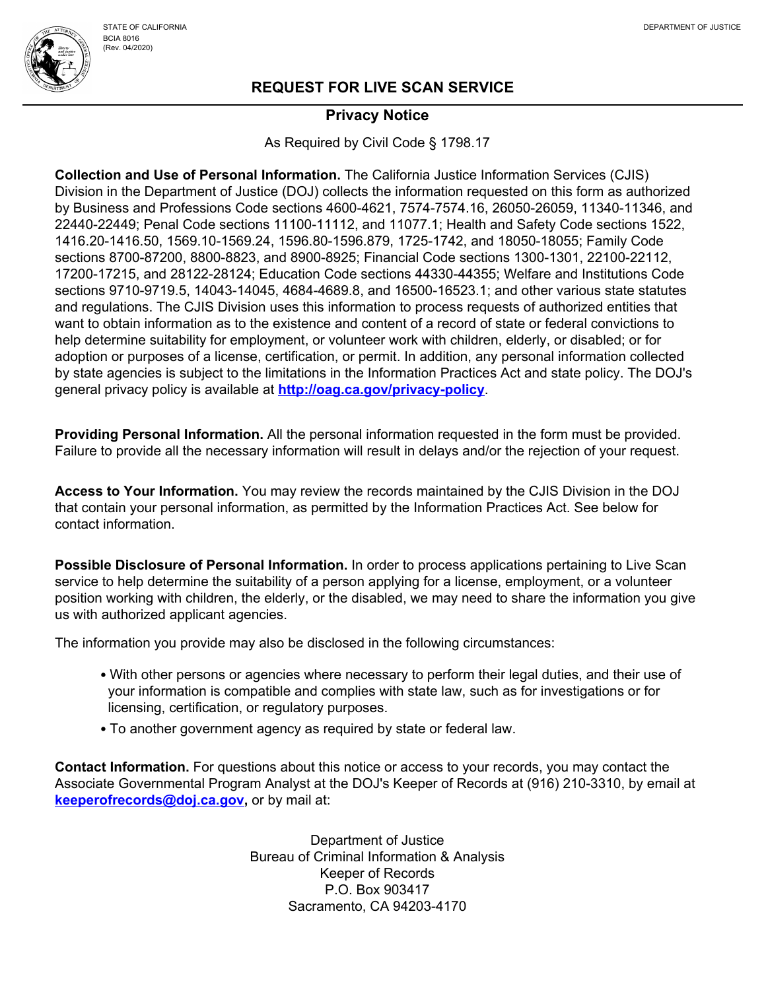

### **Privacy Notice**

As Required by Civil Code § 1798.17

**Collection and Use of Personal Information.** The California Justice Information Services (CJIS) Division in the Department of Justice (DOJ) collects the information requested on this form as authorized by Business and Professions Code sections 4600-4621, [7574-7574.16,](https://7574-7574.16) 26050-26059, 11340-11346, and 22440-22449; Penal Code sections 11100-11112, and 11077.1; Health and Safety Code sections 1522, [1416.20-1416.50](https://1416.20-1416.50), [1569.10-1569.24](https://1569.10-1569.24), 1596.80-1596.879, 1725-1742, and 18050-18055; Family Code sections 8700-87200, 8800-8823, and 8900-8925; Financial Code sections 1300-1301, 22100-22112, 17200-17215, and 28122-28124; Education Code sections 44330-44355; Welfare and Institutions Code sections 9710-9719.5, 14043-14045, 4684-4689.8, and 16500-16523.1; and other various state statutes and regulations. The CJIS Division uses this information to process requests of authorized entities that want to obtain information as to the existence and content of a record of state or federal convictions to help determine suitability for employment, or volunteer work with children, elderly, or disabled; or for adoption or purposes of a license, certification, or permit. In addition, any personal information collected by state agencies is subject to the limitations in the Information Practices Act and state policy. The DOJ's general privacy policy is available at **<http://oag.ca.gov/privacy-policy>**.

**Providing Personal Information.** All the personal information requested in the form must be provided. Failure to provide all the necessary information will result in delays and/or the rejection of your request.

**Access to Your Information.** You may review the records maintained by the CJIS Division in the DOJ that contain your personal information, as permitted by the Information Practices Act. See below for contact information.

**Possible Disclosure of Personal Information.** In order to process applications pertaining to Live Scan service to help determine the suitability of a person applying for a license, employment, or a volunteer position working with children, the elderly, or the disabled, we may need to share the information you give us with authorized applicant agencies.

The information you provide may also be disclosed in the following circumstances:

- With other persons or agencies where necessary to perform their legal duties, and their use of your information is compatible and complies with state law, such as for investigations or for licensing, certification, or regulatory purposes.
- To another government agency as required by state or federal law.

**Contact Information.** For questions about this notice or access to your records, you may contact the Associate Governmental Program Analyst at the DOJ's Keeper of Records at (916) 210-3310, by email at **[keeperofrecords@doj.ca.gov](mailto:keeperofrecords@doj.ca.gov),** or by mail at:

> Department of Justice Bureau of Criminal Information & Analysis Keeper of Records P.O. Box 903417 Sacramento, CA 94203-4170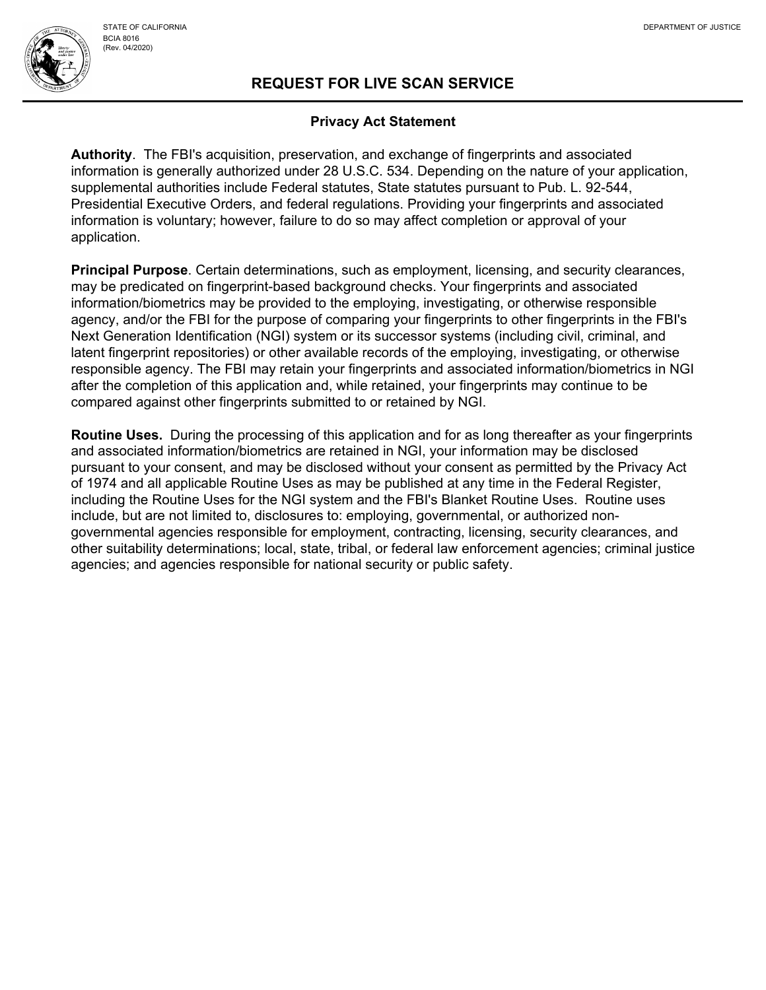## **REQUEST FOR LIVE SCAN SERVICE**

#### **Privacy Act Statement**

**Authority**. The FBI's acquisition, preservation, and exchange of fingerprints and associated information is generally authorized under 28 U.S.C. 534. Depending on the nature of your application, supplemental authorities include Federal statutes, State statutes pursuant to Pub. L. 92-544, Presidential Executive Orders, and federal regulations. Providing your fingerprints and associated information is voluntary; however, failure to do so may affect completion or approval of your application.

**Principal Purpose**. Certain determinations, such as employment, licensing, and security clearances, may be predicated on fingerprint-based background checks. Your fingerprints and associated information/biometrics may be provided to the employing, investigating, or otherwise responsible agency, and/or the FBI for the purpose of comparing your fingerprints to other fingerprints in the FBI's Next Generation Identification (NGI) system or its successor systems (including civil, criminal, and latent fingerprint repositories) or other available records of the employing, investigating, or otherwise responsible agency. The FBI may retain your fingerprints and associated information/biometrics in NGI after the completion of this application and, while retained, your fingerprints may continue to be compared against other fingerprints submitted to or retained by NGI.

**Routine Uses.** During the processing of this application and for as long thereafter as your fingerprints and associated information/biometrics are retained in NGI, your information may be disclosed pursuant to your consent, and may be disclosed without your consent as permitted by the Privacy Act of 1974 and all applicable Routine Uses as may be published at any time in the Federal Register, including the Routine Uses for the NGI system and the FBI's Blanket Routine Uses. Routine uses include, but are not limited to, disclosures to: employing, governmental, or authorized nongovernmental agencies responsible for employment, contracting, licensing, security clearances, and other suitability determinations; local, state, tribal, or federal law enforcement agencies; criminal justice agencies; and agencies responsible for national security or public safety.